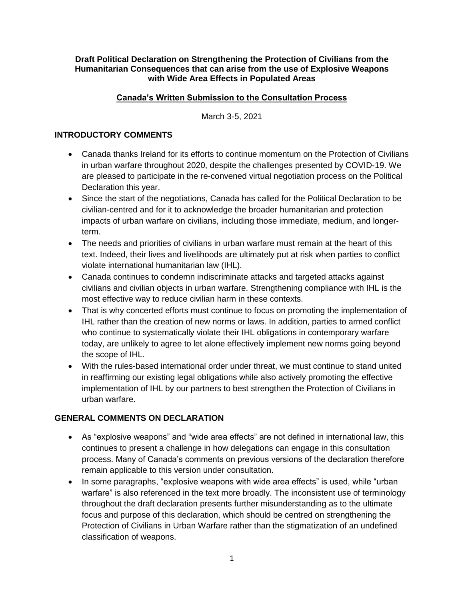#### **Draft Political Declaration on Strengthening the Protection of Civilians from the Humanitarian Consequences that can arise from the use of Explosive Weapons with Wide Area Effects in Populated Areas**

### **Canada's Written Submission to the Consultation Process**

March 3-5, 2021

### **INTRODUCTORY COMMENTS**

- Canada thanks Ireland for its efforts to continue momentum on the Protection of Civilians in urban warfare throughout 2020, despite the challenges presented by COVID-19. We are pleased to participate in the re-convened virtual negotiation process on the Political Declaration this year.
- Since the start of the negotiations, Canada has called for the Political Declaration to be civilian-centred and for it to acknowledge the broader humanitarian and protection impacts of urban warfare on civilians, including those immediate, medium, and longerterm.
- The needs and priorities of civilians in urban warfare must remain at the heart of this text. Indeed, their lives and livelihoods are ultimately put at risk when parties to conflict violate international humanitarian law (IHL).
- Canada continues to condemn indiscriminate attacks and targeted attacks against civilians and civilian objects in urban warfare. Strengthening compliance with IHL is the most effective way to reduce civilian harm in these contexts.
- That is why concerted efforts must continue to focus on promoting the implementation of IHL rather than the creation of new norms or laws. In addition, parties to armed conflict who continue to systematically violate their IHL obligations in contemporary warfare today, are unlikely to agree to let alone effectively implement new norms going beyond the scope of IHL.
- With the rules-based international order under threat, we must continue to stand united in reaffirming our existing legal obligations while also actively promoting the effective implementation of IHL by our partners to best strengthen the Protection of Civilians in urban warfare.

### **GENERAL COMMENTS ON DECLARATION**

- As "explosive weapons" and "wide area effects" are not defined in international law, this continues to present a challenge in how delegations can engage in this consultation process. Many of Canada's comments on previous versions of the declaration therefore remain applicable to this version under consultation.
- In some paragraphs, "explosive weapons with wide area effects" is used, while "urban warfare" is also referenced in the text more broadly. The inconsistent use of terminology throughout the draft declaration presents further misunderstanding as to the ultimate focus and purpose of this declaration, which should be centred on strengthening the Protection of Civilians in Urban Warfare rather than the stigmatization of an undefined classification of weapons.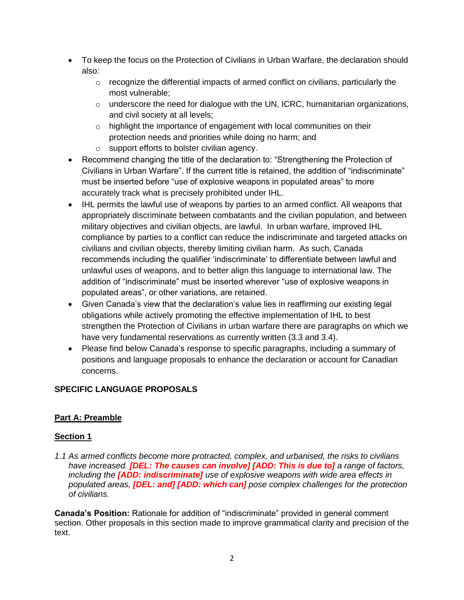- To keep the focus on the Protection of Civilians in Urban Warfare, the declaration should also:
	- $\circ$  recognize the differential impacts of armed conflict on civilians, particularly the most vulnerable;
	- $\circ$  underscore the need for dialogue with the UN, ICRC, humanitarian organizations, and civil society at all levels;
	- o highlight the importance of engagement with local communities on their protection needs and priorities while doing no harm; and
	- o support efforts to bolster civilian agency.
- Recommend changing the title of the declaration to: "Strengthening the Protection of Civilians in Urban Warfare". If the current title is retained, the addition of "indiscriminate" must be inserted before "use of explosive weapons in populated areas" to more accurately track what is precisely prohibited under IHL.
- IHL permits the lawful use of weapons by parties to an armed conflict. All weapons that appropriately discriminate between combatants and the civilian population, and between military objectives and civilian objects, are lawful. In urban warfare, improved IHL compliance by parties to a conflict can reduce the indiscriminate and targeted attacks on civilians and civilian objects, thereby limiting civilian harm. As such, Canada recommends including the qualifier 'indiscriminate' to differentiate between lawful and unlawful uses of weapons, and to better align this language to international law. The addition of "indiscriminate" must be inserted wherever "use of explosive weapons in populated areas", or other variations, are retained.
- Given Canada's view that the declaration's value lies in reaffirming our existing legal obligations while actively promoting the effective implementation of IHL to best strengthen the Protection of Civilians in urban warfare there are paragraphs on which we have very fundamental reservations as currently written (3.3 and 3.4).
- Please find below Canada's response to specific paragraphs, including a summary of positions and language proposals to enhance the declaration or account for Canadian concerns.

# **SPECIFIC LANGUAGE PROPOSALS**

# **Part A: Preamble**

# **Section 1**

*1.1 As armed conflicts become more protracted, complex, and urbanised, the risks to civilians have increased. [DEL: The causes can involve] [ADD: This is due to] a range of factors, including the [ADD: indiscriminate] use of explosive weapons with wide area effects in populated areas, [DEL: and] [ADD: which can] pose complex challenges for the protection of civilians.*

**Canada's Position:** Rationale for addition of "indiscriminate" provided in general comment section. Other proposals in this section made to improve grammatical clarity and precision of the text.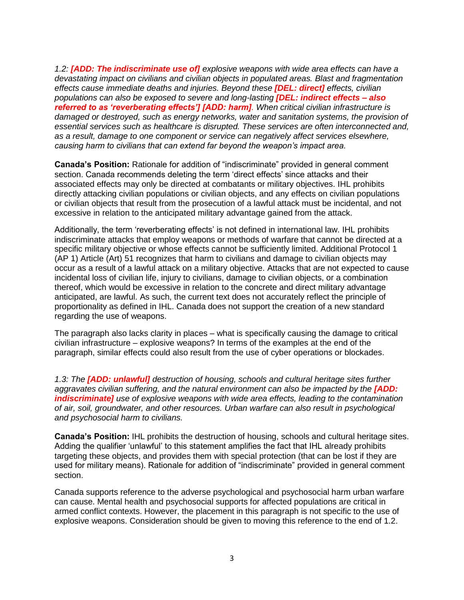*1.2: [ADD: The indiscriminate use of] explosive weapons with wide area effects can have a devastating impact on civilians and civilian objects in populated areas. Blast and fragmentation effects cause immediate deaths and injuries. Beyond these [DEL: direct] effects, civilian populations can also be exposed to severe and long-lasting [DEL: indirect effects – also referred to as 'reverberating effects'] [ADD: harm]. When critical civilian infrastructure is damaged or destroyed, such as energy networks, water and sanitation systems, the provision of essential services such as healthcare is disrupted. These services are often interconnected and, as a result, damage to one component or service can negatively affect services elsewhere, causing harm to civilians that can extend far beyond the weapon's impact area.* 

**Canada's Position:** Rationale for addition of "indiscriminate" provided in general comment section. Canada recommends deleting the term 'direct effects' since attacks and their associated effects may only be directed at combatants or military objectives. IHL prohibits directly attacking civilian populations or civilian objects, and any effects on civilian populations or civilian objects that result from the prosecution of a lawful attack must be incidental, and not excessive in relation to the anticipated military advantage gained from the attack.

Additionally, the term 'reverberating effects' is not defined in international law. IHL prohibits indiscriminate attacks that employ weapons or methods of warfare that cannot be directed at a specific military objective or whose effects cannot be sufficiently limited. Additional Protocol 1 (AP 1) Article (Art) 51 recognizes that harm to civilians and damage to civilian objects may occur as a result of a lawful attack on a military objective. Attacks that are not expected to cause incidental loss of civilian life, injury to civilians, damage to civilian objects, or a combination thereof, which would be excessive in relation to the concrete and direct military advantage anticipated, are lawful. As such, the current text does not accurately reflect the principle of proportionality as defined in IHL. Canada does not support the creation of a new standard regarding the use of weapons.

The paragraph also lacks clarity in places – what is specifically causing the damage to critical civilian infrastructure – explosive weapons? In terms of the examples at the end of the paragraph, similar effects could also result from the use of cyber operations or blockades.

*1.3: The [ADD: unlawful] destruction of housing, schools and cultural heritage sites further aggravates civilian suffering, and the natural environment can also be impacted by the [ADD: indiscriminate] use of explosive weapons with wide area effects, leading to the contamination of air, soil, groundwater, and other resources. Urban warfare can also result in psychological and psychosocial harm to civilians.*

**Canada's Position:** IHL prohibits the destruction of housing, schools and cultural heritage sites. Adding the qualifier 'unlawful' to this statement amplifies the fact that IHL already prohibits targeting these objects, and provides them with special protection (that can be lost if they are used for military means). Rationale for addition of "indiscriminate" provided in general comment section.

Canada supports reference to the adverse psychological and psychosocial harm urban warfare can cause. Mental health and psychosocial supports for affected populations are critical in armed conflict contexts. However, the placement in this paragraph is not specific to the use of explosive weapons. Consideration should be given to moving this reference to the end of 1.2.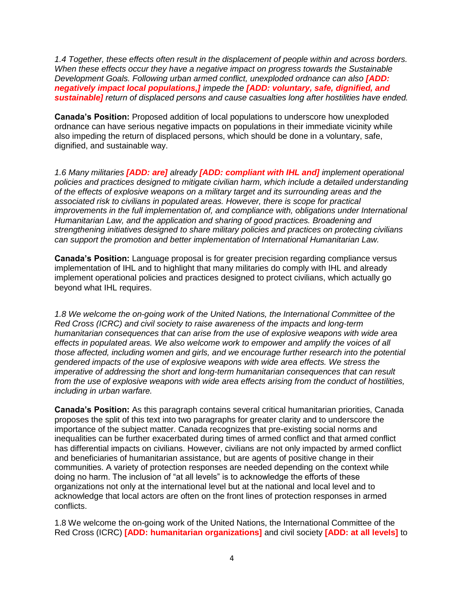*1.4 Together, these effects often result in the displacement of people within and across borders. When these effects occur they have a negative impact on progress towards the Sustainable Development Goals. Following urban armed conflict, unexploded ordnance can also [ADD: negatively impact local populations,] impede the [ADD: voluntary, safe, dignified, and sustainable] return of displaced persons and cause casualties long after hostilities have ended.*

**Canada's Position:** Proposed addition of local populations to underscore how unexploded ordnance can have serious negative impacts on populations in their immediate vicinity while also impeding the return of displaced persons, which should be done in a voluntary, safe, dignified, and sustainable way.

*1.6 Many militaries [ADD: are] already [ADD: compliant with IHL and] implement operational policies and practices designed to mitigate civilian harm, which include a detailed understanding of the effects of explosive weapons on a military target and its surrounding areas and the associated risk to civilians in populated areas. However, there is scope for practical improvements in the full implementation of, and compliance with, obligations under International Humanitarian Law, and the application and sharing of good practices. Broadening and strengthening initiatives designed to share military policies and practices on protecting civilians can support the promotion and better implementation of International Humanitarian Law.*

**Canada's Position:** Language proposal is for greater precision regarding compliance versus implementation of IHL and to highlight that many militaries do comply with IHL and already implement operational policies and practices designed to protect civilians, which actually go beyond what IHL requires.

*1.8 We welcome the on-going work of the United Nations, the International Committee of the Red Cross (ICRC) and civil society to raise awareness of the impacts and long-term humanitarian consequences that can arise from the use of explosive weapons with wide area effects in populated areas. We also welcome work to empower and amplify the voices of all those affected, including women and girls, and we encourage further research into the potential gendered impacts of the use of explosive weapons with wide area effects. We stress the imperative of addressing the short and long-term humanitarian consequences that can result from the use of explosive weapons with wide area effects arising from the conduct of hostilities, including in urban warfare.*

**Canada's Position:** As this paragraph contains several critical humanitarian priorities, Canada proposes the split of this text into two paragraphs for greater clarity and to underscore the importance of the subject matter. Canada recognizes that pre-existing social norms and inequalities can be further exacerbated during times of armed conflict and that armed conflict has differential impacts on civilians. However, civilians are not only impacted by armed conflict and beneficiaries of humanitarian assistance, but are agents of positive change in their communities. A variety of protection responses are needed depending on the context while doing no harm. The inclusion of "at all levels" is to acknowledge the efforts of these organizations not only at the international level but at the national and local level and to acknowledge that local actors are often on the front lines of protection responses in armed conflicts.

1.8 We welcome the on-going work of the United Nations, the International Committee of the Red Cross (ICRC) **[ADD: humanitarian organizations]** and civil society **[ADD: at all levels]** to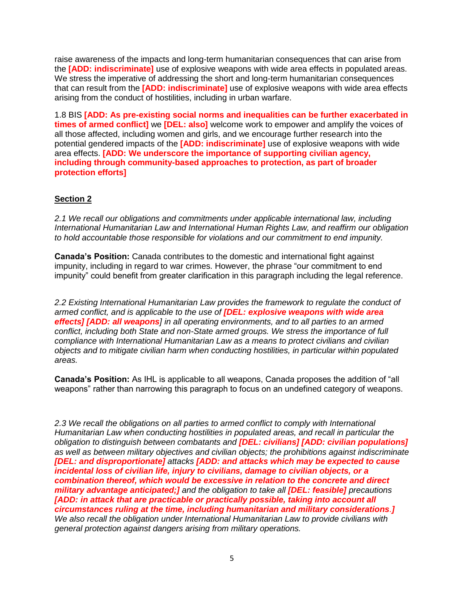raise awareness of the impacts and long-term humanitarian consequences that can arise from the **[ADD: indiscriminate]** use of explosive weapons with wide area effects in populated areas. We stress the imperative of addressing the short and long-term humanitarian consequences that can result from the **[ADD: indiscriminate]** use of explosive weapons with wide area effects arising from the conduct of hostilities, including in urban warfare.

1.8 BIS **[ADD: As pre-existing social norms and inequalities can be further exacerbated in times of armed conflict]** we **[DEL: also]** welcome work to empower and amplify the voices of all those affected, including women and girls, and we encourage further research into the potential gendered impacts of the **[ADD: indiscriminate]** use of explosive weapons with wide area effects. **[ADD: We underscore the importance of supporting civilian agency, including through community-based approaches to protection, as part of broader protection efforts]**

### **Section 2**

*2.1 We recall our obligations and commitments under applicable international law, including International Humanitarian Law and International Human Rights Law, and reaffirm our obligation to hold accountable those responsible for violations and our commitment to end impunity.*

**Canada's Position:** Canada contributes to the domestic and international fight against impunity, including in regard to war crimes. However, the phrase "our commitment to end impunity" could benefit from greater clarification in this paragraph including the legal reference.

*2.2 Existing International Humanitarian Law provides the framework to regulate the conduct of armed conflict, and is applicable to the use of [DEL: explosive weapons with wide area effects] [ADD: all weapons] in all operating environments, and to all parties to an armed conflict, including both State and non-State armed groups. We stress the importance of full compliance with International Humanitarian Law as a means to protect civilians and civilian objects and to mitigate civilian harm when conducting hostilities, in particular within populated areas.*

**Canada's Position:** As IHL is applicable to all weapons, Canada proposes the addition of "all weapons" rather than narrowing this paragraph to focus on an undefined category of weapons.

*2.3 We recall the obligations on all parties to armed conflict to comply with International Humanitarian Law when conducting hostilities in populated areas, and recall in particular the obligation to distinguish between combatants and [DEL: civilians] [ADD: civilian populations] as well as between military objectives and civilian objects; the prohibitions against indiscriminate [DEL: and disproportionate] attacks [ADD: and attacks which may be expected to cause incidental loss of civilian life, injury to civilians, damage to civilian objects, or a combination thereof, which would be excessive in relation to the concrete and direct military advantage anticipated;] and the obligation to take all [DEL: feasible] precautions [ADD: in attack that are practicable or practically possible, taking into account all circumstances ruling at the time, including humanitarian and military considerations.] We also recall the obligation under International Humanitarian Law to provide civilians with general protection against dangers arising from military operations.*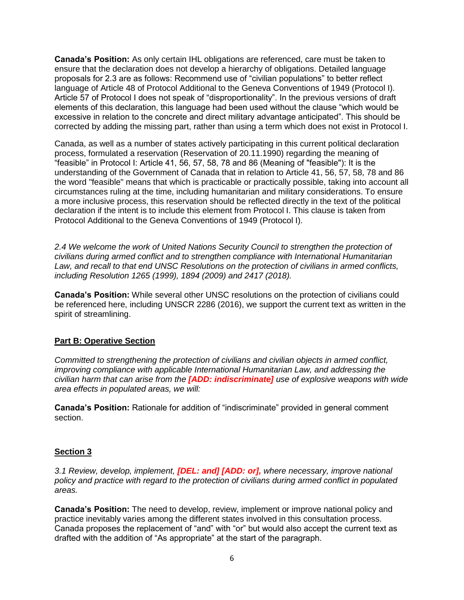**Canada's Position:** As only certain IHL obligations are referenced, care must be taken to ensure that the declaration does not develop a hierarchy of obligations. Detailed language proposals for 2.3 are as follows: Recommend use of "civilian populations" to better reflect language of Article 48 of Protocol Additional to the Geneva Conventions of 1949 (Protocol I). Article 57 of Protocol I does not speak of "disproportionality". In the previous versions of draft elements of this declaration, this language had been used without the clause "which would be excessive in relation to the concrete and direct military advantage anticipated". This should be corrected by adding the missing part, rather than using a term which does not exist in Protocol I.

Canada, as well as a number of states actively participating in this current political declaration process, formulated a reservation (Reservation of 20.11.1990) regarding the meaning of "feasible" in Protocol I: Article 41, 56, 57, 58, 78 and 86 (Meaning of "feasible"): It is the understanding of the Government of Canada that in relation to Article 41, 56, 57, 58, 78 and 86 the word "feasible" means that which is practicable or practically possible, taking into account all circumstances ruling at the time, including humanitarian and military considerations. To ensure a more inclusive process, this reservation should be reflected directly in the text of the political declaration if the intent is to include this element from Protocol I. This clause is taken from Protocol Additional to the Geneva Conventions of 1949 (Protocol I).

*2.4 We welcome the work of United Nations Security Council to strengthen the protection of civilians during armed conflict and to strengthen compliance with International Humanitarian Law, and recall to that end UNSC Resolutions on the protection of civilians in armed conflicts, including Resolution 1265 (1999), 1894 (2009) and 2417 (2018).*

**Canada's Position:** While several other UNSC resolutions on the protection of civilians could be referenced here, including UNSCR 2286 (2016), we support the current text as written in the spirit of streamlining.

### **Part B: Operative Section**

*Committed to strengthening the protection of civilians and civilian objects in armed conflict, improving compliance with applicable International Humanitarian Law, and addressing the civilian harm that can arise from the [ADD: indiscriminate] use of explosive weapons with wide area effects in populated areas, we will:*

**Canada's Position:** Rationale for addition of "indiscriminate" provided in general comment section.

### **Section 3**

*3.1 Review, develop, implement, [DEL: and] [ADD: or], where necessary, improve national policy and practice with regard to the protection of civilians during armed conflict in populated areas.*

**Canada's Position:** The need to develop, review, implement or improve national policy and practice inevitably varies among the different states involved in this consultation process. Canada proposes the replacement of "and" with "or" but would also accept the current text as drafted with the addition of "As appropriate" at the start of the paragraph.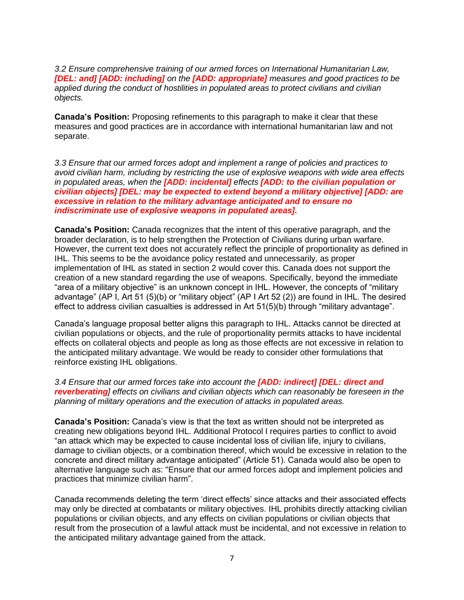*3.2 Ensure comprehensive training of our armed forces on International Humanitarian Law, [DEL: and] [ADD: including] on the [ADD: appropriate] measures and good practices to be applied during the conduct of hostilities in populated areas to protect civilians and civilian objects.*

**Canada's Position:** Proposing refinements to this paragraph to make it clear that these measures and good practices are in accordance with international humanitarian law and not separate.

*3.3 Ensure that our armed forces adopt and implement a range of policies and practices to avoid civilian harm, including by restricting the use of explosive weapons with wide area effects in populated areas, when the [ADD: incidental] effects [ADD: to the civilian population or civilian objects] [DEL: may be expected to extend beyond a military objective] [ADD: are excessive in relation to the military advantage anticipated and to ensure no indiscriminate use of explosive weapons in populated areas].* 

**Canada's Position:** Canada recognizes that the intent of this operative paragraph, and the broader declaration, is to help strengthen the Protection of Civilians during urban warfare. However, the current text does not accurately reflect the principle of proportionality as defined in IHL. This seems to be the avoidance policy restated and unnecessarily, as proper implementation of IHL as stated in section 2 would cover this. Canada does not support the creation of a new standard regarding the use of weapons. Specifically, beyond the immediate "area of a military objective" is an unknown concept in IHL. However, the concepts of "military advantage" (AP I, Art 51 (5)(b) or "military object" (AP I Art 52 (2)) are found in IHL. The desired effect to address civilian casualties is addressed in Art 51(5)(b) through "military advantage".

Canada's language proposal better aligns this paragraph to IHL. Attacks cannot be directed at civilian populations or objects, and the rule of proportionality permits attacks to have incidental effects on collateral objects and people as long as those effects are not excessive in relation to the anticipated military advantage. We would be ready to consider other formulations that reinforce existing IHL obligations.

*3.4 Ensure that our armed forces take into account the [ADD: indirect] [DEL: direct and reverberating] effects on civilians and civilian objects which can reasonably be foreseen in the planning of military operations and the execution of attacks in populated areas.*

**Canada's Position:** Canada's view is that the text as written should not be interpreted as creating new obligations beyond IHL. Additional Protocol I requires parties to conflict to avoid "an attack which may be expected to cause incidental loss of civilian life, injury to civilians, damage to civilian objects, or a combination thereof, which would be excessive in relation to the concrete and direct military advantage anticipated" (Article 51). Canada would also be open to alternative language such as: "Ensure that our armed forces adopt and implement policies and practices that minimize civilian harm".

Canada recommends deleting the term 'direct effects' since attacks and their associated effects may only be directed at combatants or military objectives. IHL prohibits directly attacking civilian populations or civilian objects, and any effects on civilian populations or civilian objects that result from the prosecution of a lawful attack must be incidental, and not excessive in relation to the anticipated military advantage gained from the attack.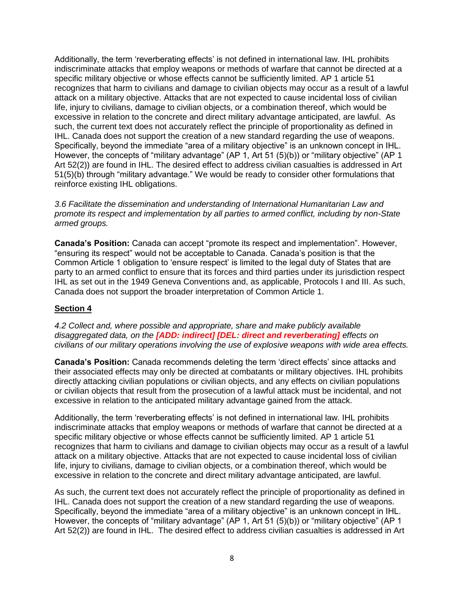Additionally, the term 'reverberating effects' is not defined in international law. IHL prohibits indiscriminate attacks that employ weapons or methods of warfare that cannot be directed at a specific military objective or whose effects cannot be sufficiently limited. AP 1 article 51 recognizes that harm to civilians and damage to civilian objects may occur as a result of a lawful attack on a military objective. Attacks that are not expected to cause incidental loss of civilian life, injury to civilians, damage to civilian objects, or a combination thereof, which would be excessive in relation to the concrete and direct military advantage anticipated, are lawful. As such, the current text does not accurately reflect the principle of proportionality as defined in IHL. Canada does not support the creation of a new standard regarding the use of weapons. Specifically, beyond the immediate "area of a military objective" is an unknown concept in IHL. However, the concepts of "military advantage" (AP 1, Art 51 (5)(b)) or "military objective" (AP 1 Art 52(2)) are found in IHL. The desired effect to address civilian casualties is addressed in Art 51(5)(b) through "military advantage." We would be ready to consider other formulations that reinforce existing IHL obligations.

*3.6 Facilitate the dissemination and understanding of International Humanitarian Law and promote its respect and implementation by all parties to armed conflict, including by non-State armed groups.*

**Canada's Position:** Canada can accept "promote its respect and implementation". However, "ensuring its respect" would not be acceptable to Canada. Canada's position is that the Common Article 1 obligation to 'ensure respect' is limited to the legal duty of States that are party to an armed conflict to ensure that its forces and third parties under its jurisdiction respect IHL as set out in the 1949 Geneva Conventions and, as applicable, Protocols I and III. As such, Canada does not support the broader interpretation of Common Article 1.

### **Section 4**

*4.2 Collect and, where possible and appropriate, share and make publicly available disaggregated data, on the [ADD: indirect] [DEL: direct and reverberating] effects on civilians of our military operations involving the use of explosive weapons with wide area effects.*

**Canada's Position:** Canada recommends deleting the term 'direct effects' since attacks and their associated effects may only be directed at combatants or military objectives. IHL prohibits directly attacking civilian populations or civilian objects, and any effects on civilian populations or civilian objects that result from the prosecution of a lawful attack must be incidental, and not excessive in relation to the anticipated military advantage gained from the attack.

Additionally, the term 'reverberating effects' is not defined in international law. IHL prohibits indiscriminate attacks that employ weapons or methods of warfare that cannot be directed at a specific military objective or whose effects cannot be sufficiently limited. AP 1 article 51 recognizes that harm to civilians and damage to civilian objects may occur as a result of a lawful attack on a military objective. Attacks that are not expected to cause incidental loss of civilian life, injury to civilians, damage to civilian objects, or a combination thereof, which would be excessive in relation to the concrete and direct military advantage anticipated, are lawful.

As such, the current text does not accurately reflect the principle of proportionality as defined in IHL. Canada does not support the creation of a new standard regarding the use of weapons. Specifically, beyond the immediate "area of a military objective" is an unknown concept in IHL. However, the concepts of "military advantage" (AP 1, Art 51 (5)(b)) or "military objective" (AP 1 Art 52(2)) are found in IHL. The desired effect to address civilian casualties is addressed in Art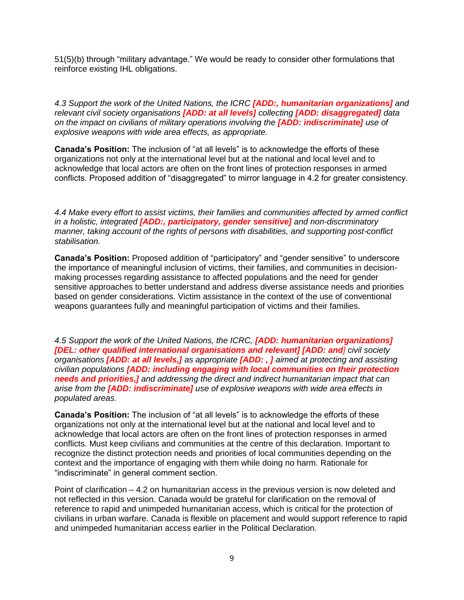51(5)(b) through "military advantage." We would be ready to consider other formulations that reinforce existing IHL obligations.

*4.3 Support the work of the United Nations, the ICRC [ADD:, humanitarian organizations] and relevant civil society organisations [ADD: at all levels] collecting [ADD: disaggregated] data on the impact on civilians of military operations involving the [ADD: indiscriminate] use of explosive weapons with wide area effects, as appropriate.*

**Canada's Position:** The inclusion of "at all levels" is to acknowledge the efforts of these organizations not only at the international level but at the national and local level and to acknowledge that local actors are often on the front lines of protection responses in armed conflicts. Proposed addition of "disaggregated" to mirror language in 4.2 for greater consistency.

*4.4 Make every effort to assist victims, their families and communities affected by armed conflict in a holistic, integrated [ADD:, participatory, gender sensitive] and non-discriminatory manner, taking account of the rights of persons with disabilities, and supporting post-conflict stabilisation.*

**Canada's Position:** Proposed addition of "participatory" and "gender sensitive" to underscore the importance of meaningful inclusion of victims, their families, and communities in decisionmaking processes regarding assistance to affected populations and the need for gender sensitive approaches to better understand and address diverse assistance needs and priorities based on gender considerations. Victim assistance in the context of the use of conventional weapons guarantees fully and meaningful participation of victims and their families.

*4.5 Support the work of the United Nations, the ICRC, [ADD: humanitarian organizations] [DEL: other qualified international organisations and relevant] [ADD: and] civil society organisations [ADD: at all levels,] as appropriate [ADD: , ] aimed at protecting and assisting civilian populations [ADD: including engaging with local communities on their protection needs and priorities,] and addressing the direct and indirect humanitarian impact that can arise from the [ADD: indiscriminate] use of explosive weapons with wide area effects in populated areas.*

**Canada's Position:** The inclusion of "at all levels" is to acknowledge the efforts of these organizations not only at the international level but at the national and local level and to acknowledge that local actors are often on the front lines of protection responses in armed conflicts. Must keep civilians and communities at the centre of this declaration. Important to recognize the distinct protection needs and priorities of local communities depending on the context and the importance of engaging with them while doing no harm. Rationale for "indiscriminate" in general comment section.

Point of clarification – 4.2 on humanitarian access in the previous version is now deleted and not reflected in this version. Canada would be grateful for clarification on the removal of reference to rapid and unimpeded humanitarian access, which is critical for the protection of civilians in urban warfare. Canada is flexible on placement and would support reference to rapid and unimpeded humanitarian access earlier in the Political Declaration.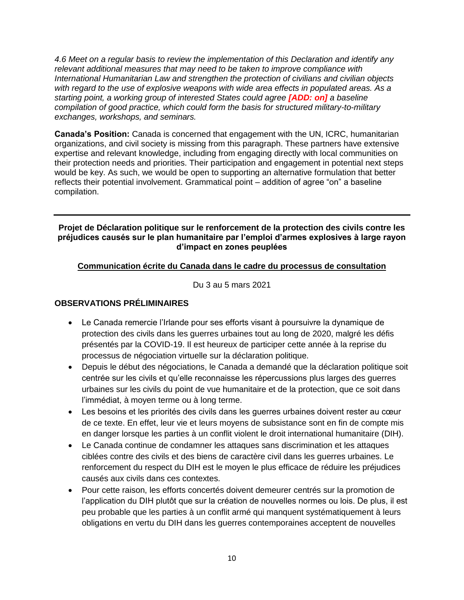*4.6 Meet on a regular basis to review the implementation of this Declaration and identify any relevant additional measures that may need to be taken to improve compliance with International Humanitarian Law and strengthen the protection of civilians and civilian objects*  with regard to the use of explosive weapons with wide area effects in populated areas. As a *starting point, a working group of interested States could agree [ADD: on] a baseline compilation of good practice, which could form the basis for structured military-to-military exchanges, workshops, and seminars.*

**Canada's Position:** Canada is concerned that engagement with the UN, ICRC, humanitarian organizations, and civil society is missing from this paragraph. These partners have extensive expertise and relevant knowledge, including from engaging directly with local communities on their protection needs and priorities. Their participation and engagement in potential next steps would be key. As such, we would be open to supporting an alternative formulation that better reflects their potential involvement. Grammatical point – addition of agree "on" a baseline compilation.

### **Projet de Déclaration politique sur le renforcement de la protection des civils contre les préjudices causés sur le plan humanitaire par l'emploi d'armes explosives à large rayon d'impact en zones peuplées**

## **Communication écrite du Canada dans le cadre du processus de consultation**

Du 3 au 5 mars 2021

## **OBSERVATIONS PRÉLIMINAIRES**

- Le Canada remercie l'Irlande pour ses efforts visant à poursuivre la dynamique de protection des civils dans les guerres urbaines tout au long de 2020, malgré les défis présentés par la COVID-19. Il est heureux de participer cette année à la reprise du processus de négociation virtuelle sur la déclaration politique.
- Depuis le début des négociations, le Canada a demandé que la déclaration politique soit centrée sur les civils et qu'elle reconnaisse les répercussions plus larges des guerres urbaines sur les civils du point de vue humanitaire et de la protection, que ce soit dans l'immédiat, à moyen terme ou à long terme.
- Les besoins et les priorités des civils dans les guerres urbaines doivent rester au cœur de ce texte. En effet, leur vie et leurs moyens de subsistance sont en fin de compte mis en danger lorsque les parties à un conflit violent le droit international humanitaire (DIH).
- Le Canada continue de condamner les attaques sans discrimination et les attaques ciblées contre des civils et des biens de caractère civil dans les guerres urbaines. Le renforcement du respect du DIH est le moyen le plus efficace de réduire les préjudices causés aux civils dans ces contextes.
- Pour cette raison, les efforts concertés doivent demeurer centrés sur la promotion de l'application du DIH plutôt que sur la création de nouvelles normes ou lois. De plus, il est peu probable que les parties à un conflit armé qui manquent systématiquement à leurs obligations en vertu du DIH dans les guerres contemporaines acceptent de nouvelles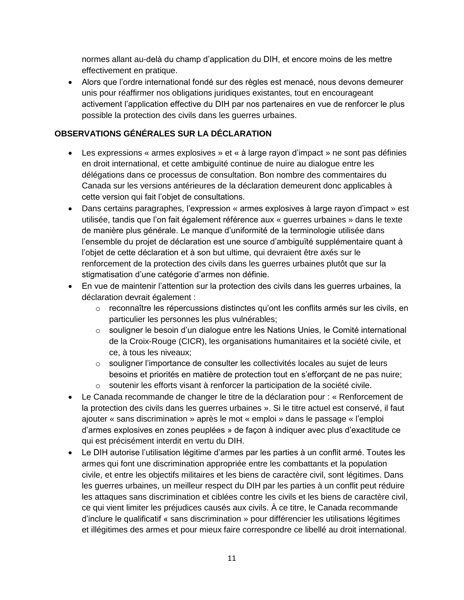normes allant au-delà du champ d'application du DIH, et encore moins de les mettre effectivement en pratique.

 Alors que l'ordre international fondé sur des règles est menacé, nous devons demeurer unis pour réaffirmer nos obligations juridiques existantes, tout en encourageant activement l'application effective du DIH par nos partenaires en vue de renforcer le plus possible la protection des civils dans les guerres urbaines.

## **OBSERVATIONS GÉNÉRALES SUR LA DÉCLARATION**

- Les expressions « armes explosives » et « à large rayon d'impact » ne sont pas définies en droit international, et cette ambiguïté continue de nuire au dialogue entre les délégations dans ce processus de consultation. Bon nombre des commentaires du Canada sur les versions antérieures de la déclaration demeurent donc applicables à cette version qui fait l'objet de consultations.
- Dans certains paragraphes, l'expression « armes explosives à large rayon d'impact » est utilisée, tandis que l'on fait également référence aux « guerres urbaines » dans le texte de manière plus générale. Le manque d'uniformité de la terminologie utilisée dans l'ensemble du projet de déclaration est une source d'ambiguïté supplémentaire quant à l'objet de cette déclaration et à son but ultime, qui devraient être axés sur le renforcement de la protection des civils dans les guerres urbaines plutôt que sur la stigmatisation d'une catégorie d'armes non définie.
- En vue de maintenir l'attention sur la protection des civils dans les guerres urbaines, la déclaration devrait également :
	- o reconnaître les répercussions distinctes qu'ont les conflits armés sur les civils, en particulier les personnes les plus vulnérables;
	- o souligner le besoin d'un dialogue entre les Nations Unies, le Comité international de la Croix-Rouge (CICR), les organisations humanitaires et la société civile, et ce, à tous les niveaux;
	- $\circ$  souligner l'importance de consulter les collectivités locales au sujet de leurs besoins et priorités en matière de protection tout en s'efforçant de ne pas nuire;
	- o soutenir les efforts visant à renforcer la participation de la société civile.
- Le Canada recommande de changer le titre de la déclaration pour : « Renforcement de la protection des civils dans les guerres urbaines ». Si le titre actuel est conservé, il faut ajouter « sans discrimination » après le mot « emploi » dans le passage « l'emploi d'armes explosives en zones peuplées » de façon à indiquer avec plus d'exactitude ce qui est précisément interdit en vertu du DIH.
- Le DIH autorise l'utilisation légitime d'armes par les parties à un conflit armé. Toutes les armes qui font une discrimination appropriée entre les combattants et la population civile, et entre les objectifs militaires et les biens de caractère civil, sont légitimes. Dans les guerres urbaines, un meilleur respect du DIH par les parties à un conflit peut réduire les attaques sans discrimination et ciblées contre les civils et les biens de caractère civil, ce qui vient limiter les préjudices causés aux civils. À ce titre, le Canada recommande d'inclure le qualificatif « sans discrimination » pour différencier les utilisations légitimes et illégitimes des armes et pour mieux faire correspondre ce libellé au droit international.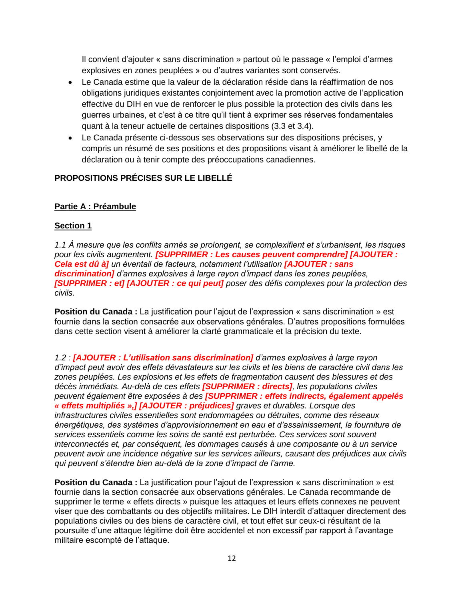Il convient d'ajouter « sans discrimination » partout où le passage « l'emploi d'armes explosives en zones peuplées » ou d'autres variantes sont conservés.

- Le Canada estime que la valeur de la déclaration réside dans la réaffirmation de nos obligations juridiques existantes conjointement avec la promotion active de l'application effective du DIH en vue de renforcer le plus possible la protection des civils dans les guerres urbaines, et c'est à ce titre qu'il tient à exprimer ses réserves fondamentales quant à la teneur actuelle de certaines dispositions (3.3 et 3.4).
- Le Canada présente ci-dessous ses observations sur des dispositions précises, y compris un résumé de ses positions et des propositions visant à améliorer le libellé de la déclaration ou à tenir compte des préoccupations canadiennes.

## **PROPOSITIONS PRÉCISES SUR LE LIBELLÉ**

### **Partie A : Préambule**

### **Section 1**

*1.1 À mesure que les conflits armés se prolongent, se complexifient et s'urbanisent, les risques pour les civils augmentent. [SUPPRIMER : Les causes peuvent comprendre] [AJOUTER : Cela est dû à] un éventail de facteurs, notamment l'utilisation [AJOUTER : sans discrimination] d'armes explosives à large rayon d'impact dans les zones peuplées, [SUPPRIMER : et] [AJOUTER : ce qui peut] poser des défis complexes pour la protection des civils.*

**Position du Canada :** La justification pour l'ajout de l'expression « sans discrimination » est fournie dans la section consacrée aux observations générales. D'autres propositions formulées dans cette section visent à améliorer la clarté grammaticale et la précision du texte.

*1.2 : [AJOUTER : L'utilisation sans discrimination] d'armes explosives à large rayon d'impact peut avoir des effets dévastateurs sur les civils et les biens de caractère civil dans les zones peuplées. Les explosions et les effets de fragmentation causent des blessures et des décès immédiats. Au-delà de ces effets [SUPPRIMER : directs], les populations civiles peuvent également être exposées à des [SUPPRIMER : effets indirects, également appelés « effets multipliés »,] [AJOUTER : préjudices] graves et durables. Lorsque des infrastructures civiles essentielles sont endommagées ou détruites, comme des réseaux énergétiques, des systèmes d'approvisionnement en eau et d'assainissement, la fourniture de services essentiels comme les soins de santé est perturbée. Ces services sont souvent interconnectés et, par conséquent, les dommages causés à une composante ou à un service peuvent avoir une incidence négative sur les services ailleurs, causant des préjudices aux civils qui peuvent s'étendre bien au-delà de la zone d'impact de l'arme.*

**Position du Canada :** La justification pour l'ajout de l'expression « sans discrimination » est fournie dans la section consacrée aux observations générales. Le Canada recommande de supprimer le terme « effets directs » puisque les attaques et leurs effets connexes ne peuvent viser que des combattants ou des objectifs militaires. Le DIH interdit d'attaquer directement des populations civiles ou des biens de caractère civil, et tout effet sur ceux-ci résultant de la poursuite d'une attaque légitime doit être accidentel et non excessif par rapport à l'avantage militaire escompté de l'attaque.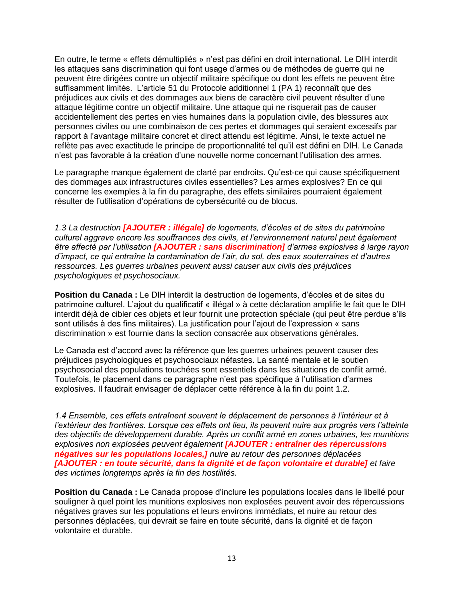En outre, le terme « effets démultipliés » n'est pas défini en droit international. Le DIH interdit les attaques sans discrimination qui font usage d'armes ou de méthodes de guerre qui ne peuvent être dirigées contre un objectif militaire spécifique ou dont les effets ne peuvent être suffisamment limités. L'article 51 du Protocole additionnel 1 (PA 1) reconnaît que des préjudices aux civils et des dommages aux biens de caractère civil peuvent résulter d'une attaque légitime contre un objectif militaire. Une attaque qui ne risquerait pas de causer accidentellement des pertes en vies humaines dans la population civile, des blessures aux personnes civiles ou une combinaison de ces pertes et dommages qui seraient excessifs par rapport à l'avantage militaire concret et direct attendu est légitime. Ainsi, le texte actuel ne reflète pas avec exactitude le principe de proportionnalité tel qu'il est défini en DIH. Le Canada n'est pas favorable à la création d'une nouvelle norme concernant l'utilisation des armes.

Le paragraphe manque également de clarté par endroits. Qu'est-ce qui cause spécifiquement des dommages aux infrastructures civiles essentielles? Les armes explosives? En ce qui concerne les exemples à la fin du paragraphe, des effets similaires pourraient également résulter de l'utilisation d'opérations de cybersécurité ou de blocus.

*1.3 La destruction [AJOUTER : illégale] de logements, d'écoles et de sites du patrimoine culturel aggrave encore les souffrances des civils, et l'environnement naturel peut également être affecté par l'utilisation [AJOUTER : sans discrimination] d'armes explosives à large rayon d'impact, ce qui entraîne la contamination de l'air, du sol, des eaux souterraines et d'autres ressources. Les guerres urbaines peuvent aussi causer aux civils des préjudices psychologiques et psychosociaux.*

**Position du Canada :** Le DIH interdit la destruction de logements, d'écoles et de sites du patrimoine culturel. L'ajout du qualificatif « illégal » à cette déclaration amplifie le fait que le DIH interdit déjà de cibler ces objets et leur fournit une protection spéciale (qui peut être perdue s'ils sont utilisés à des fins militaires). La justification pour l'ajout de l'expression « sans discrimination » est fournie dans la section consacrée aux observations générales.

Le Canada est d'accord avec la référence que les guerres urbaines peuvent causer des préjudices psychologiques et psychosociaux néfastes. La santé mentale et le soutien psychosocial des populations touchées sont essentiels dans les situations de conflit armé. Toutefois, le placement dans ce paragraphe n'est pas spécifique à l'utilisation d'armes explosives. Il faudrait envisager de déplacer cette référence à la fin du point 1.2.

*1.4 Ensemble, ces effets entraînent souvent le déplacement de personnes à l'intérieur et à*  l'extérieur des frontières. Lorsque ces effets ont lieu, ils peuvent nuire aux progrès vers l'atteinte *des objectifs de développement durable. Après un conflit armé en zones urbaines, les munitions explosives non explosées peuvent également [AJOUTER : entraîner des répercussions négatives sur les populations locales,] nuire au retour des personnes déplacées [AJOUTER : en toute sécurité, dans la dignité et de façon volontaire et durable] et faire des victimes longtemps après la fin des hostilités.*

**Position du Canada :** Le Canada propose d'inclure les populations locales dans le libellé pour souligner à quel point les munitions explosives non explosées peuvent avoir des répercussions négatives graves sur les populations et leurs environs immédiats, et nuire au retour des personnes déplacées, qui devrait se faire en toute sécurité, dans la dignité et de façon volontaire et durable.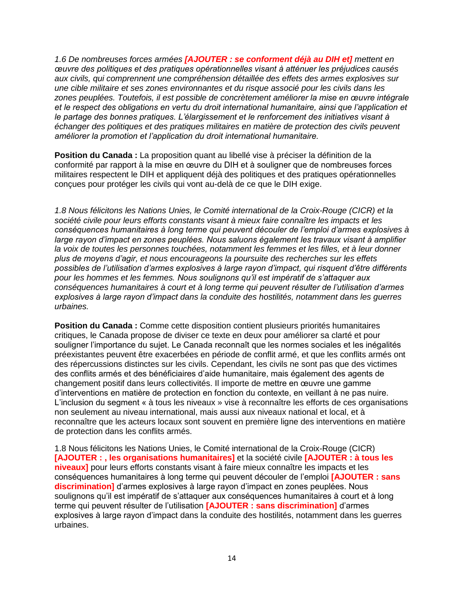*1.6 De nombreuses forces armées [AJOUTER : se conforment déjà au DIH et] mettent en œuvre des politiques et des pratiques opérationnelles visant à atténuer les préjudices causés aux civils, qui comprennent une compréhension détaillée des effets des armes explosives sur une cible militaire et ses zones environnantes et du risque associé pour les civils dans les zones peuplées. Toutefois, il est possible de concrètement améliorer la mise en œuvre intégrale et le respect des obligations en vertu du droit international humanitaire, ainsi que l'application et le partage des bonnes pratiques. L'élargissement et le renforcement des initiatives visant à échanger des politiques et des pratiques militaires en matière de protection des civils peuvent améliorer la promotion et l'application du droit international humanitaire.*

**Position du Canada :** La proposition quant au libellé vise à préciser la définition de la conformité par rapport à la mise en œuvre du DIH et à souligner que de nombreuses forces militaires respectent le DIH et appliquent déjà des politiques et des pratiques opérationnelles conçues pour protéger les civils qui vont au-delà de ce que le DIH exige.

*1.8 Nous félicitons les Nations Unies, le Comité international de la Croix-Rouge (CICR) et la société civile pour leurs efforts constants visant à mieux faire connaître les impacts et les conséquences humanitaires à long terme qui peuvent découler de l'emploi d'armes explosives à large rayon d'impact en zones peuplées. Nous saluons également les travaux visant à amplifier la voix de toutes les personnes touchées, notamment les femmes et les filles, et à leur donner plus de moyens d'agir, et nous encourageons la poursuite des recherches sur les effets possibles de l'utilisation d'armes explosives à large rayon d'impact, qui risquent d'être différents pour les hommes et les femmes. Nous soulignons qu'il est impératif de s'attaquer aux conséquences humanitaires à court et à long terme qui peuvent résulter de l'utilisation d'armes explosives à large rayon d'impact dans la conduite des hostilités, notamment dans les guerres urbaines.*

**Position du Canada :** Comme cette disposition contient plusieurs priorités humanitaires critiques, le Canada propose de diviser ce texte en deux pour améliorer sa clarté et pour souligner l'importance du sujet. Le Canada reconnaît que les normes sociales et les inégalités préexistantes peuvent être exacerbées en période de conflit armé, et que les conflits armés ont des répercussions distinctes sur les civils. Cependant, les civils ne sont pas que des victimes des conflits armés et des bénéficiaires d'aide humanitaire, mais également des agents de changement positif dans leurs collectivités. Il importe de mettre en œuvre une gamme d'interventions en matière de protection en fonction du contexte, en veillant à ne pas nuire. L'inclusion du segment « à tous les niveaux » vise à reconnaître les efforts de ces organisations non seulement au niveau international, mais aussi aux niveaux national et local, et à reconnaître que les acteurs locaux sont souvent en première ligne des interventions en matière de protection dans les conflits armés.

1.8 Nous félicitons les Nations Unies, le Comité international de la Croix-Rouge (CICR) **[AJOUTER : , les organisations humanitaires]** et la société civile **[AJOUTER : à tous les niveaux]** pour leurs efforts constants visant à faire mieux connaître les impacts et les conséquences humanitaires à long terme qui peuvent découler de l'emploi **[AJOUTER : sans discrimination]** d'armes explosives à large rayon d'impact en zones peuplées. Nous soulignons qu'il est impératif de s'attaquer aux conséquences humanitaires à court et à long terme qui peuvent résulter de l'utilisation **[AJOUTER : sans discrimination]** d'armes explosives à large rayon d'impact dans la conduite des hostilités, notamment dans les guerres urbaines.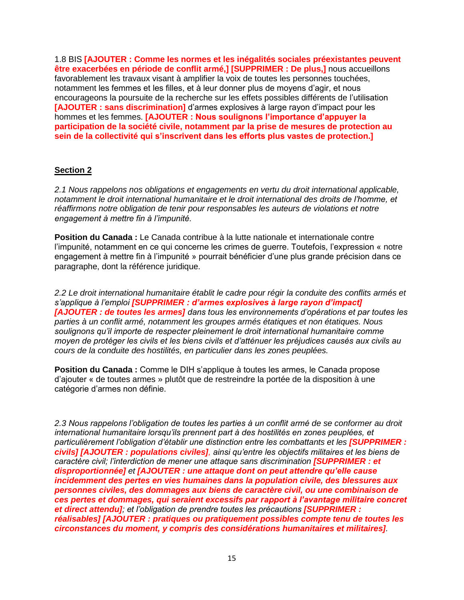1.8 BIS **[AJOUTER : Comme les normes et les inégalités sociales préexistantes peuvent être exacerbées en période de conflit armé,] [SUPPRIMER : De plus,]** nous accueillons favorablement les travaux visant à amplifier la voix de toutes les personnes touchées, notamment les femmes et les filles, et à leur donner plus de moyens d'agir, et nous encourageons la poursuite de la recherche sur les effets possibles différents de l'utilisation **[AJOUTER : sans discrimination]** d'armes explosives à large rayon d'impact pour les hommes et les femmes. **[AJOUTER : Nous soulignons l'importance d'appuyer la participation de la société civile, notamment par la prise de mesures de protection au sein de la collectivité qui s'inscrivent dans les efforts plus vastes de protection.]**

### **Section 2**

*2.1 Nous rappelons nos obligations et engagements en vertu du droit international applicable, notamment le droit international humanitaire et le droit international des droits de l'homme, et réaffirmons notre obligation de tenir pour responsables les auteurs de violations et notre engagement à mettre fin à l'impunité.*

**Position du Canada :** Le Canada contribue à la lutte nationale et internationale contre l'impunité, notamment en ce qui concerne les crimes de guerre. Toutefois, l'expression « notre engagement à mettre fin à l'impunité » pourrait bénéficier d'une plus grande précision dans ce paragraphe, dont la référence juridique.

*2.2 Le droit international humanitaire établit le cadre pour régir la conduite des conflits armés et s'applique à l'emploi [SUPPRIMER : d'armes explosives à large rayon d'impact] [AJOUTER : de toutes les armes] dans tous les environnements d'opérations et par toutes les parties à un conflit armé, notamment les groupes armés étatiques et non étatiques. Nous soulignons qu'il importe de respecter pleinement le droit international humanitaire comme moyen de protéger les civils et les biens civils et d'atténuer les préjudices causés aux civils au cours de la conduite des hostilités, en particulier dans les zones peuplées.*

**Position du Canada :** Comme le DIH s'applique à toutes les armes, le Canada propose d'ajouter « de toutes armes » plutôt que de restreindre la portée de la disposition à une catégorie d'armes non définie.

*2.3 Nous rappelons l'obligation de toutes les parties à un conflit armé de se conformer au droit international humanitaire lorsqu'ils prennent part à des hostilités en zones peuplées, et particulièrement l'obligation d'établir une distinction entre les combattants et les [SUPPRIMER : civils] [AJOUTER : populations civiles], ainsi qu'entre les objectifs militaires et les biens de caractère civil; l'interdiction de mener une attaque sans discrimination [SUPPRIMER : et disproportionnée] et [AJOUTER : une attaque dont on peut attendre qu'elle cause incidemment des pertes en vies humaines dans la population civile, des blessures aux personnes civiles, des dommages aux biens de caractère civil, ou une combinaison de ces pertes et dommages, qui seraient excessifs par rapport à l'avantage militaire concret et direct attendu]; et l'obligation de prendre toutes les précautions [SUPPRIMER : réalisables] [AJOUTER : pratiques ou pratiquement possibles compte tenu de toutes les circonstances du moment, y compris des considérations humanitaires et militaires].*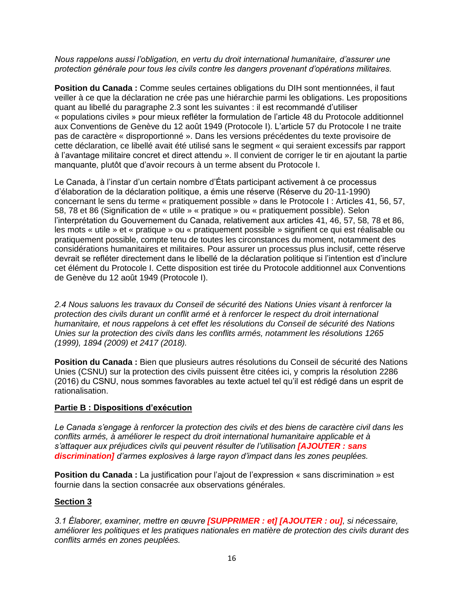*Nous rappelons aussi l'obligation, en vertu du droit international humanitaire, d'assurer une protection générale pour tous les civils contre les dangers provenant d'opérations militaires.*

**Position du Canada :** Comme seules certaines obligations du DIH sont mentionnées, il faut veiller à ce que la déclaration ne crée pas une hiérarchie parmi les obligations. Les propositions quant au libellé du paragraphe 2.3 sont les suivantes : il est recommandé d'utiliser « populations civiles » pour mieux refléter la formulation de l'article 48 du Protocole additionnel aux Conventions de Genève du 12 août 1949 (Protocole I). L'article 57 du Protocole I ne traite pas de caractère « disproportionné ». Dans les versions précédentes du texte provisoire de cette déclaration, ce libellé avait été utilisé sans le segment « qui seraient excessifs par rapport à l'avantage militaire concret et direct attendu ». Il convient de corriger le tir en ajoutant la partie manquante, plutôt que d'avoir recours à un terme absent du Protocole I.

Le Canada, à l'instar d'un certain nombre d'États participant activement à ce processus d'élaboration de la déclaration politique, a émis une réserve (Réserve du 20-11-1990) concernant le sens du terme « pratiquement possible » dans le Protocole I : Articles 41, 56, 57, 58, 78 et 86 (Signification de « utile » « pratique » ou « pratiquement possible). Selon l'interprétation du Gouvernement du Canada, relativement aux articles 41, 46, 57, 58, 78 et 86, les mots « utile » et « pratique » ou « pratiquement possible » signifient ce qui est réalisable ou pratiquement possible, compte tenu de toutes les circonstances du moment, notamment des considérations humanitaires et militaires. Pour assurer un processus plus inclusif, cette réserve devrait se refléter directement dans le libellé de la déclaration politique si l'intention est d'inclure cet élément du Protocole I. Cette disposition est tirée du Protocole additionnel aux Conventions de Genève du 12 août 1949 (Protocole I).

*2.4 Nous saluons les travaux du Conseil de sécurité des Nations Unies visant à renforcer la protection des civils durant un conflit armé et à renforcer le respect du droit international humanitaire, et nous rappelons à cet effet les résolutions du Conseil de sécurité des Nations Unies sur la protection des civils dans les conflits armés, notamment les résolutions 1265 (1999), 1894 (2009) et 2417 (2018).*

**Position du Canada :** Bien que plusieurs autres résolutions du Conseil de sécurité des Nations Unies (CSNU) sur la protection des civils puissent être citées ici, y compris la résolution 2286 (2016) du CSNU, nous sommes favorables au texte actuel tel qu'il est rédigé dans un esprit de rationalisation.

### **Partie B : Dispositions d'exécution**

*Le Canada s'engage à renforcer la protection des civils et des biens de caractère civil dans les conflits armés, à améliorer le respect du droit international humanitaire applicable et à s'attaquer aux préjudices civils qui peuvent résulter de l'utilisation [AJOUTER : sans discrimination] d'armes explosives à large rayon d'impact dans les zones peuplées.*

**Position du Canada** : La justification pour l'ajout de l'expression « sans discrimination » est fournie dans la section consacrée aux observations générales.

#### **Section 3**

*3.1 Élaborer, examiner, mettre en œuvre [SUPPRIMER : et] [AJOUTER : ou], si nécessaire, améliorer les politiques et les pratiques nationales en matière de protection des civils durant des conflits armés en zones peuplées.*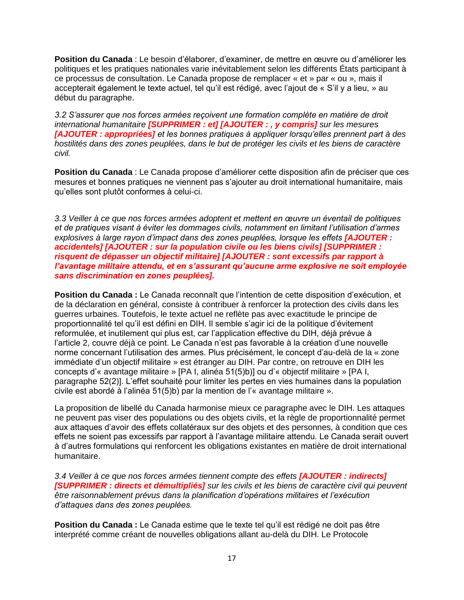**Position du Canada** : Le besoin d'élaborer, d'examiner, de mettre en œuvre ou d'améliorer les politiques et les pratiques nationales varie inévitablement selon les différents États participant à ce processus de consultation. Le Canada propose de remplacer « et » par « ou », mais il accepterait également le texte actuel, tel qu'il est rédigé, avec l'ajout de « S'il y a lieu, » au début du paragraphe.

*3.2 S'assurer que nos forces armées reçoivent une formation complète en matière de droit international humanitaire [SUPPRIMER : et] [AJOUTER : , y compris] sur les mesures [AJOUTER : appropriées] et les bonnes pratiques à appliquer lorsqu'elles prennent part à des hostilités dans des zones peuplées, dans le but de protéger les civils et les biens de caractère civil.*

**Position du Canada** : Le Canada propose d'améliorer cette disposition afin de préciser que ces mesures et bonnes pratiques ne viennent pas s'ajouter au droit international humanitaire, mais qu'elles sont plutôt conformes à celui-ci.

*3.3 Veiller à ce que nos forces armées adoptent et mettent en œuvre un éventail de politiques et de pratiques visant à éviter les dommages civils, notamment en limitant l'utilisation d'armes explosives à large rayon d'impact dans des zones peuplées, lorsque les effets [AJOUTER : accidentels] [AJOUTER : sur la population civile ou les biens civils] [SUPPRIMER : risquent de dépasser un objectif militaire] [AJOUTER : sont excessifs par rapport à l'avantage militaire attendu, et en s'assurant qu'aucune arme explosive ne soit employée sans discrimination en zones peuplées].*

**Position du Canada :** Le Canada reconnaît que l'intention de cette disposition d'exécution, et de la déclaration en général, consiste à contribuer à renforcer la protection des civils dans les guerres urbaines. Toutefois, le texte actuel ne reflète pas avec exactitude le principe de proportionnalité tel qu'il est défini en DIH. Il semble s'agir ici de la politique d'évitement reformulée, et inutilement qui plus est, car l'application effective du DIH, déjà prévue à l'article 2, couvre déjà ce point. Le Canada n'est pas favorable à la création d'une nouvelle norme concernant l'utilisation des armes. Plus précisément, le concept d'au-delà de la « zone immédiate d'un objectif militaire » est étranger au DIH. Par contre, on retrouve en DIH les concepts d'« avantage militaire » [PA I, alinéa 51(5)b)] ou d'« objectif militaire » [PA I, paragraphe 52(2)]. L'effet souhaité pour limiter les pertes en vies humaines dans la population civile est abordé à l'alinéa 51(5)b) par la mention de l'« avantage militaire ».

La proposition de libellé du Canada harmonise mieux ce paragraphe avec le DIH. Les attaques ne peuvent pas viser des populations ou des objets civils, et la règle de proportionnalité permet aux attaques d'avoir des effets collatéraux sur des objets et des personnes, à condition que ces effets ne soient pas excessifs par rapport à l'avantage militaire attendu. Le Canada serait ouvert à d'autres formulations qui renforcent les obligations existantes en matière de droit international humanitaire.

*3.4 Veiller à ce que nos forces armées tiennent compte des effets [AJOUTER : indirects] [SUPPRIMER : directs et démultipliés] sur les civils et les biens de caractère civil qui peuvent être raisonnablement prévus dans la planification d'opérations militaires et l'exécution d'attaques dans des zones peuplées.*

**Position du Canada :** Le Canada estime que le texte tel qu'il est rédigé ne doit pas être interprété comme créant de nouvelles obligations allant au-delà du DIH. Le Protocole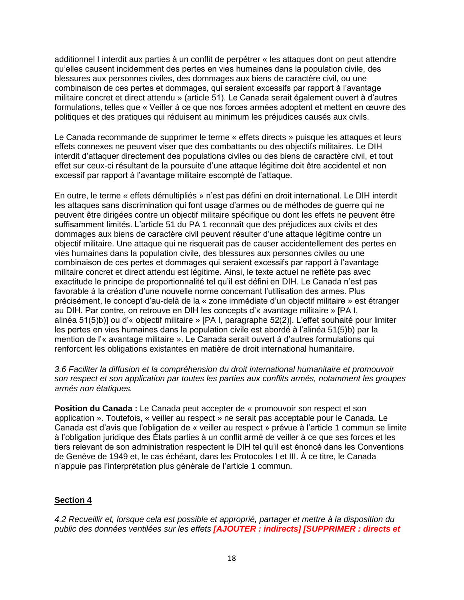additionnel I interdit aux parties à un conflit de perpétrer « les attaques dont on peut attendre qu'elles causent incidemment des pertes en vies humaines dans la population civile, des blessures aux personnes civiles, des dommages aux biens de caractère civil, ou une combinaison de ces pertes et dommages, qui seraient excessifs par rapport à l'avantage militaire concret et direct attendu » (article 51). Le Canada serait également ouvert à d'autres formulations, telles que « Veiller à ce que nos forces armées adoptent et mettent en œuvre des politiques et des pratiques qui réduisent au minimum les préjudices causés aux civils.

Le Canada recommande de supprimer le terme « effets directs » puisque les attaques et leurs effets connexes ne peuvent viser que des combattants ou des objectifs militaires. Le DIH interdit d'attaquer directement des populations civiles ou des biens de caractère civil, et tout effet sur ceux-ci résultant de la poursuite d'une attaque légitime doit être accidentel et non excessif par rapport à l'avantage militaire escompté de l'attaque.

En outre, le terme « effets démultipliés » n'est pas défini en droit international. Le DIH interdit les attaques sans discrimination qui font usage d'armes ou de méthodes de guerre qui ne peuvent être dirigées contre un objectif militaire spécifique ou dont les effets ne peuvent être suffisamment limités. L'article 51 du PA 1 reconnaît que des préjudices aux civils et des dommages aux biens de caractère civil peuvent résulter d'une attaque légitime contre un objectif militaire. Une attaque qui ne risquerait pas de causer accidentellement des pertes en vies humaines dans la population civile, des blessures aux personnes civiles ou une combinaison de ces pertes et dommages qui seraient excessifs par rapport à l'avantage militaire concret et direct attendu est légitime. Ainsi, le texte actuel ne reflète pas avec exactitude le principe de proportionnalité tel qu'il est défini en DIH. Le Canada n'est pas favorable à la création d'une nouvelle norme concernant l'utilisation des armes. Plus précisément, le concept d'au-delà de la « zone immédiate d'un objectif militaire » est étranger au DIH. Par contre, on retrouve en DIH les concepts d'« avantage militaire » [PA I, alinéa 51(5)b)] ou d'« objectif militaire » [PA I, paragraphe 52(2)]. L'effet souhaité pour limiter les pertes en vies humaines dans la population civile est abordé à l'alinéa 51(5)b) par la mention de l'« avantage militaire ». Le Canada serait ouvert à d'autres formulations qui renforcent les obligations existantes en matière de droit international humanitaire.

*3.6 Faciliter la diffusion et la compréhension du droit international humanitaire et promouvoir son respect et son application par toutes les parties aux conflits armés, notamment les groupes armés non étatiques.*

**Position du Canada :** Le Canada peut accepter de « promouvoir son respect et son application ». Toutefois, « veiller au respect » ne serait pas acceptable pour le Canada. Le Canada est d'avis que l'obligation de « veiller au respect » prévue à l'article 1 commun se limite à l'obligation juridique des États parties à un conflit armé de veiller à ce que ses forces et les tiers relevant de son administration respectent le DIH tel qu'il est énoncé dans les Conventions de Genève de 1949 et, le cas échéant, dans les Protocoles I et III. À ce titre, le Canada n'appuie pas l'interprétation plus générale de l'article 1 commun.

### **Section 4**

*4.2 Recueillir et, lorsque cela est possible et approprié, partager et mettre à la disposition du public des données ventilées sur les effets [AJOUTER : indirects] [SUPPRIMER : directs et*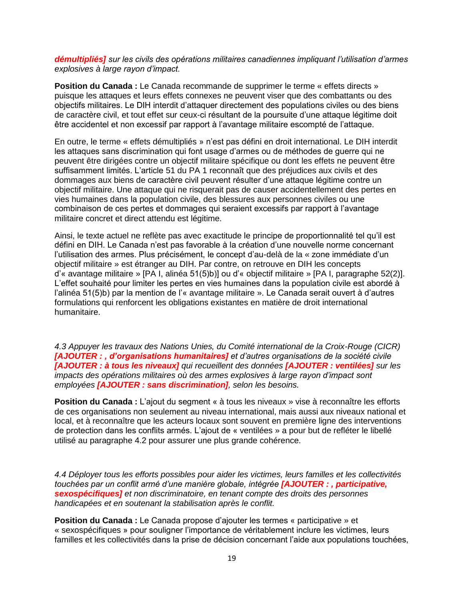*démultipliés] sur les civils des opérations militaires canadiennes impliquant l'utilisation d'armes explosives à large rayon d'impact.*

**Position du Canada :** Le Canada recommande de supprimer le terme « effets directs » puisque les attaques et leurs effets connexes ne peuvent viser que des combattants ou des objectifs militaires. Le DIH interdit d'attaquer directement des populations civiles ou des biens de caractère civil, et tout effet sur ceux-ci résultant de la poursuite d'une attaque légitime doit être accidentel et non excessif par rapport à l'avantage militaire escompté de l'attaque.

En outre, le terme « effets démultipliés » n'est pas défini en droit international. Le DIH interdit les attaques sans discrimination qui font usage d'armes ou de méthodes de guerre qui ne peuvent être dirigées contre un objectif militaire spécifique ou dont les effets ne peuvent être suffisamment limités. L'article 51 du PA 1 reconnaît que des préjudices aux civils et des dommages aux biens de caractère civil peuvent résulter d'une attaque légitime contre un objectif militaire. Une attaque qui ne risquerait pas de causer accidentellement des pertes en vies humaines dans la population civile, des blessures aux personnes civiles ou une combinaison de ces pertes et dommages qui seraient excessifs par rapport à l'avantage militaire concret et direct attendu est légitime.

Ainsi, le texte actuel ne reflète pas avec exactitude le principe de proportionnalité tel qu'il est défini en DIH. Le Canada n'est pas favorable à la création d'une nouvelle norme concernant l'utilisation des armes. Plus précisément, le concept d'au-delà de la « zone immédiate d'un objectif militaire » est étranger au DIH. Par contre, on retrouve en DIH les concepts d'« avantage militaire » [PA I, alinéa 51(5)b)] ou d'« objectif militaire » [PA I, paragraphe 52(2)]. L'effet souhaité pour limiter les pertes en vies humaines dans la population civile est abordé à l'alinéa 51(5)b) par la mention de l'« avantage militaire ». Le Canada serait ouvert à d'autres formulations qui renforcent les obligations existantes en matière de droit international humanitaire.

*4.3 Appuyer les travaux des Nations Unies, du Comité international de la Croix-Rouge (CICR) [AJOUTER : , d'organisations humanitaires] et d'autres organisations de la société civile [AJOUTER : à tous les niveaux] qui recueillent des données [AJOUTER : ventilées] sur les impacts des opérations militaires où des armes explosives à large rayon d'impact sont employées [AJOUTER : sans discrimination], selon les besoins.*

**Position du Canada :** L'ajout du segment « à tous les niveaux » vise à reconnaître les efforts de ces organisations non seulement au niveau international, mais aussi aux niveaux national et local, et à reconnaître que les acteurs locaux sont souvent en première ligne des interventions de protection dans les conflits armés. L'ajout de « ventilées » a pour but de refléter le libellé utilisé au paragraphe 4.2 pour assurer une plus grande cohérence.

*4.4 Déployer tous les efforts possibles pour aider les victimes, leurs familles et les collectivités touchées par un conflit armé d'une manière globale, intégrée [AJOUTER : , participative, sexospécifiques] et non discriminatoire, en tenant compte des droits des personnes handicapées et en soutenant la stabilisation après le conflit.*

**Position du Canada :** Le Canada propose d'ajouter les termes « participative » et « sexospécifiques » pour souligner l'importance de véritablement inclure les victimes, leurs familles et les collectivités dans la prise de décision concernant l'aide aux populations touchées,